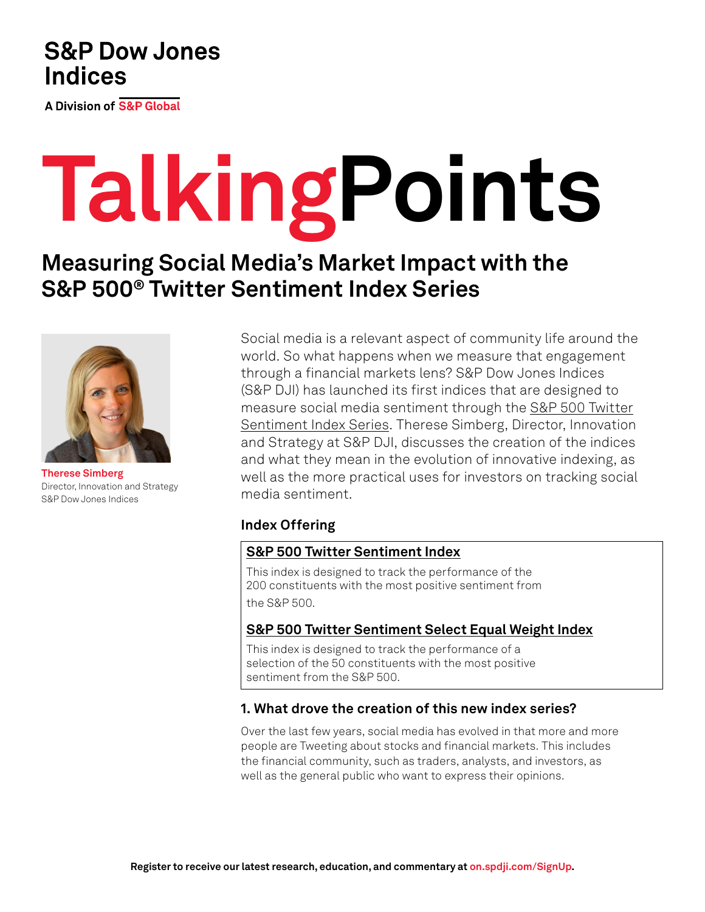# **S&P Dow Jones Indices**

**A Division of S&P Global** 

# **TalkingPoints**

# **Measuring Social Media's Market Impact with the S&P 500® Twitter Sentiment Index Series**



**Therese Simberg** Director, Innovation and Strategy S&P Dow Jones Indices

Social media is a relevant aspect of community life around the world. So what happens when we measure that engagement through a financial markets lens? S&P Dow Jones Indices (S&P DJI) has launched its first indices that are designed to measure social media sentiment through the [S&P 500 Twitter](https://www.spglobal.com/spdji/en/index-family/strategy/factors/social-media-sentiment/?utm_source=pdf_education) [Sentiment Index Series](https://www.spglobal.com/spdji/en/index-family/strategy/factors/social-media-sentiment/?utm_source=pdf_education). Therese Simberg, Director, Innovation and Strategy at S&P DJI, discusses the creation of the indices and what they mean in the evolution of innovative indexing, as well as the more practical uses for investors on tracking social media sentiment.

## **Index Offering**

### **[S&P 500 Twitter Sentiment Index](https://www.spglobal.com/spdji/en/indices/strategy/sp-500-twitter-sentiment-index/?utm_source=pdf_education)**

This index is designed to track the performance of the 200 constituents with the most positive sentiment from the S&P 500.

## **[S&P 500 Twitter Sentiment Select Equal Weight Index](https://www.spglobal.com/spdji/en/indices/strategy/sp-500-twitter-sentiment-select-equal-weight-index/?utm_source=pdf_education)**

This index is designed to track the performance of a selection of the 50 constituents with the most positive sentiment from the S&P 500.

### **1. What drove the creation of this new index series?**

Over the last few years, social media has evolved in that more and more people are Tweeting about stocks and financial markets. This includes the financial community, such as traders, analysts, and investors, as well as the general public who want to express their opinions.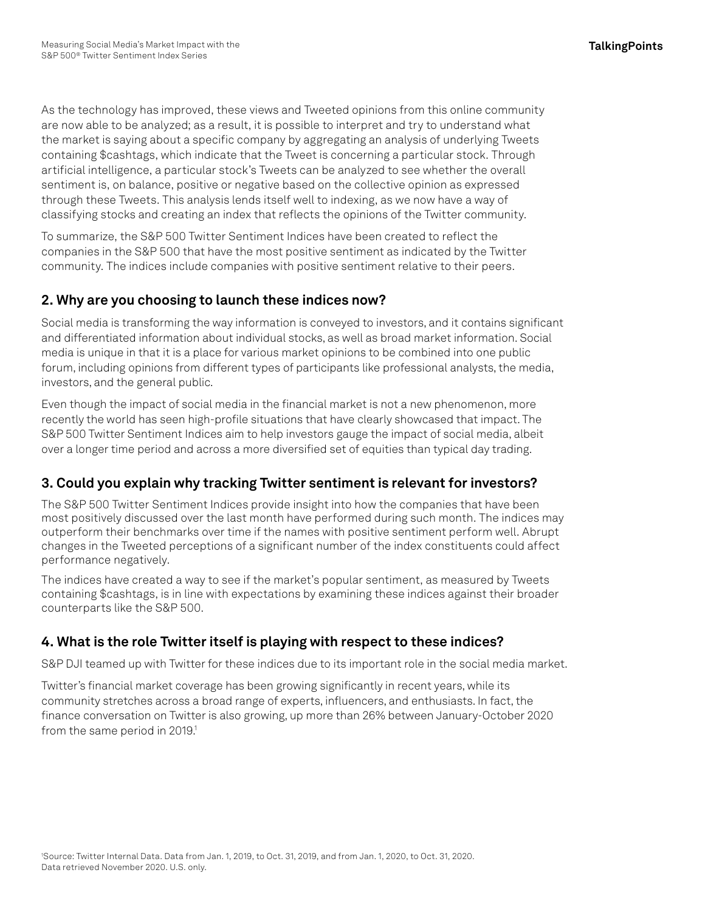As the technology has improved, these views and Tweeted opinions from this online community are now able to be analyzed; as a result, it is possible to interpret and try to understand what the market is saying about a specific company by aggregating an analysis of underlying Tweets containing \$cashtags, which indicate that the Tweet is concerning a particular stock. Through artificial intelligence, a particular stock's Tweets can be analyzed to see whether the overall sentiment is, on balance, positive or negative based on the collective opinion as expressed through these Tweets. This analysis lends itself well to indexing, as we now have a way of classifying stocks and creating an index that reflects the opinions of the Twitter community.

To summarize, the S&P 500 Twitter Sentiment Indices have been created to reflect the companies in the S&P 500 that have the most positive sentiment as indicated by the Twitter community. The indices include companies with positive sentiment relative to their peers.

## **2. Why are you choosing to launch these indices now?**

Social media is transforming the way information is conveyed to investors, and it contains significant and differentiated information about individual stocks, as well as broad market information. Social media is unique in that it is a place for various market opinions to be combined into one public forum, including opinions from different types of participants like professional analysts, the media, investors, and the general public.

Even though the impact of social media in the financial market is not a new phenomenon, more recently the world has seen high-profile situations that have clearly showcased that impact. The S&P 500 Twitter Sentiment Indices aim to help investors gauge the impact of social media, albeit over a longer time period and across a more diversified set of equities than typical day trading.

## **3. Could you explain why tracking Twitter sentiment is relevant for investors?**

The S&P 500 Twitter Sentiment Indices provide insight into how the companies that have been most positively discussed over the last month have performed during such month. The indices may outperform their benchmarks over time if the names with positive sentiment perform well. Abrupt changes in the Tweeted perceptions of a significant number of the index constituents could affect performance negatively.

The indices have created a way to see if the market's popular sentiment, as measured by Tweets containing \$cashtags, is in line with expectations by examining these indices against their broader counterparts like the S&P 500.

## **4. What is the role Twitter itself is playing with respect to these indices?**

S&P DJI teamed up with Twitter for these indices due to its important role in the social media market.

Twitter's financial market coverage has been growing significantly in recent years, while its community stretches across a broad range of experts, influencers, and enthusiasts. In fact, the finance conversation on Twitter is also growing, up more than 26% between January-October 2020 from the same period in 2019.<sup>1</sup>